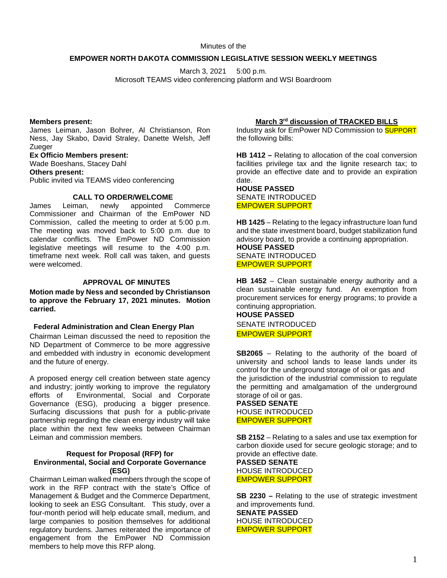Minutes of the

### **EMPOWER NORTH DAKOTA COMMISSION LEGISLATIVE SESSION WEEKLY MEETINGS**

March 3, 2021 5:00 p.m. Microsoft TEAMS video conferencing platform and WSI Boardroom

### **Members present:**

James Leiman, Jason Bohrer, Al Christianson, Ron Ness, Jay Skabo, David Straley, Danette Welsh, Jeff Zueger

**Ex Officio Members present:** Wade Boeshans, Stacey Dahl **Others present:** Public invited via TEAMS video conferencing

### **CALL TO ORDER/WELCOME**

James Leiman, newly appointed Commerce Commissioner and Chairman of the EmPower ND Commission, called the meeting to order at 5:00 p.m. The meeting was moved back to 5:00 p.m. due to calendar conflicts. The EmPower ND Commission legislative meetings will resume to the 4:00 p.m. timeframe next week. Roll call was taken, and guests were welcomed.

### **APPROVAL OF MINUTES**

**Motion made by Ness and seconded by Christianson to approve the February 17, 2021 minutes. Motion carried.**

### **Federal Administration and Clean Energy Plan**

Chairman Leiman discussed the need to reposition the ND Department of Commerce to be more aggressive and embedded with industry in economic development and the future of energy.

A proposed energy cell creation between state agency and industry; jointly working to improve the regulatory efforts of Environmental, Social and Corporate Governance (ESG), producing a bigger presence. Surfacing discussions that push for a public-private partnership regarding the clean energy industry will take place within the next few weeks between Chairman Leiman and commission members.

### **Request for Proposal (RFP) for Environmental, Social and Corporate Governance (ESG)**

Chairman Leiman walked members through the scope of work in the RFP contract with the state's Office of Management & Budget and the Commerce Department, looking to seek an ESG Consultant. This study, over a four-month period will help educate small, medium, and large companies to position themselves for additional regulatory burdens. James reiterated the importance of engagement from the EmPower ND Commission members to help move this RFP along.

### **March 3rd discussion of TRACKED BILLS**

Industry ask for EmPower ND Commission to SUPPORT the following bills:

**HB 1412 –** Relating to allocation of the coal conversion facilities privilege tax and the lignite research tax; to provide an effective date and to provide an expiration date.

**HOUSE PASSED** SENATE INTRODUCED EMPOWER SUPPORT

**HB 1425** – Relating to the legacy infrastructure loan fund and the state investment board, budget stabilization fund advisory board, to provide a continuing appropriation. **HOUSE PASSED** SENATE INTRODUCED EMPOWER SUPPORT

**HB 1452** – Clean sustainable energy authority and a clean sustainable energy fund. An exemption from procurement services for energy programs; to provide a continuing appropriation.

**HOUSE PASSED** SENATE INTRODUCED EMPOWER SUPPORT

**SB2065** – Relating to the authority of the board of university and school lands to lease lands under its control for the underground storage of oil or gas and the jurisdiction of the industrial commission to regulate the permitting and amalgamation of the underground storage of oil or gas.

## **PASSED SENATE** HOUSE INTRODUCED EMPOWER SUPPORT

**SB 2152** – Relating to a sales and use tax exemption for carbon dioxide used for secure geologic storage; and to provide an effective date.

**PASSED SENATE** HOUSE INTRODUCED EMPOWER SUPPORT

**SB 2230 –** Relating to the use of strategic investment and improvements fund. **SENATE PASSED** HOUSE INTRODUCED EMPOWER SUPPORT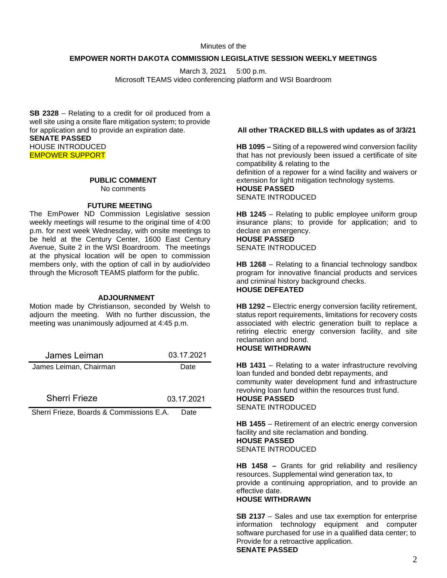Minutes of the

### **EMPOWER NORTH DAKOTA COMMISSION LEGISLATIVE SESSION WEEKLY MEETINGS**

March 3, 2021 5:00 p.m. Microsoft TEAMS video conferencing platform and WSI Boardroom

**SB 2328** – Relating to a credit for oil produced from a well site using a onsite flare mitigation system; to provide for application and to provide an expiration date. **SENATE PASSED** HOUSE INTRODUCED EMPOWER SUPPORT

# **PUBLIC COMMENT**

No comments

### **FUTURE MEETING**

The EmPower ND Commission Legislative session weekly meetings will resume to the original time of 4:00 p.m. for next week Wednesday, with onsite meetings to be held at the Century Center, 1600 East Century Avenue, Suite 2 in the WSI Boardroom. The meetings at the physical location will be open to commission members only, with the option of call in by audio/video through the Microsoft TEAMS platform for the public.

### **ADJOURNMENT**

Motion made by Christianson, seconded by Welsh to adjourn the meeting. With no further discussion, the meeting was unanimously adjourned at 4:45 p.m.

| James Leiman           | 03.17.2021 |
|------------------------|------------|
| James Leiman, Chairman | Date       |

Sherri Frieze 03.17.2021

Sherri Frieze, Boards & Commissions E.A. Date

# **All other TRACKED BILLS with updates as of 3/3/21**

**HB 1095 –** Siting of a repowered wind conversion facility that has not previously been issued a certificate of site compatibility & relating to the definition of a repower for a wind facility and waivers or extension for light mitigation technology systems. **HOUSE PASSED** SENATE INTRODUCED

**HB 1245** – Relating to public employee uniform group insurance plans; to provide for application; and to declare an emergency.

#### **HOUSE PASSED** SENATE INTRODUCED

**HB 1268** – Relating to a financial technology sandbox program for innovative financial products and services and criminal history background checks. **HOUSE DEFEATED**

**HB 1292 –** Electric energy conversion facility retirement, status report requirements, limitations for recovery costs associated with electric generation built to replace a retiring electric energy conversion facility, and site reclamation and bond.

# **HOUSE WITHDRAWN**

**HB 1431** – Relating to a water infrastructure revolving loan funded and bonded debt repayments, and community water development fund and infrastructure revolving loan fund within the resources trust fund. **HOUSE PASSED** SENATE INTRODUCED

**HB 1455** – Retirement of an electric energy conversion facility and site reclamation and bonding. **HOUSE PASSED** SENATE INTRODUCED

**HB 1458 –** Grants for grid reliability and resiliency resources. Supplemental wind generation tax, to provide a continuing appropriation, and to provide an effective date.

### **HOUSE WITHDRAWN**

**SB 2137** – Sales and use tax exemption for enterprise information technology equipment and computer software purchased for use in a qualified data center; to Provide for a retroactive application.

**SENATE PASSED**